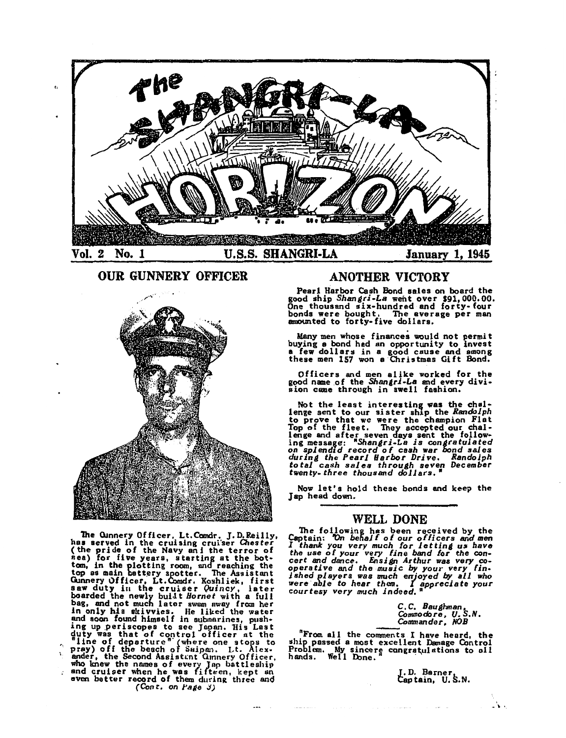

OUR GUNNERY OFFICER



The Cunnery Officer, Lt.Comdr. J. D.Reilly, has served in the cruising cruiter Chester (the pride of the Navy ani the terror of nea) for five years, starting at the bottom, in the plotting room, and reaching the top as main battery spotter. The Assistant<br>Gunnery Officer, Lt.Comdr. Koshliek, first<br>saw duty in the cruiser Quincy, later<br>boarded the newly built Hornet with a full<br>bag, and not much later swam away from her in only his skivvies. He liked the water and soon found himself in submarines, push-<br>ing up periscopes to see Japan. His Last duty was that of control officer at the "Ilne of departure" (where one stops to pray) off the beach of Saipan. Lt. Alexander, the Second Assistant Ginnery Officer, who knew the names of every Jap battleship and cruiser when he was fifteen, kept an even better record of them during three and *(Cont,* on *l'alle .J)* 

# ANOTHER VICTORY

Pearl Harbor Cash Bond sales on **board** the good ship *Shangri-La* went over \$91,000,00. One thousand six-hundred and forty-four bonds were bought, The **average** per man amounted to forty-five dollars,

Many men whose finances would not permit buying a bond had an opportunity to invest **a** few dollar» in a good cause and among these men 157 won a Christmas Gift Bond.

Officers and men alike worked for the good name of the *Shangri-La* and every divi-<br>sion came through in swell fashion.

Not the least interesting was the chal-<br>lenge sent to our sister ship the *Randolph* to prove that we were the champion Flat Top of the fleet. They accepted our challenge and after seven days sent the following message: *RShangri-La is congratulated* on *splendid* record of cash war bond sales *durina the Pearl Harbor Drive. Randolph total cash sales throuah seven December twenty-three thousand dollars,* **<sup>R</sup>**

Now let's hold these bonds and keep the Jap head down,

## WELL DONE

The following has been received by the Captain: 'On behalf of our officers and men *I thank you very much for letting us have the use of your very fine band for the concert and dance, Ensitn Arthur was* very co*operative and the music* by *you,· very fin- ished players was much e,Uoyed* by *all who*  were *able to hear them. I appreciate your courtesy very much indeed.* <sup>A</sup>

> C. C, *BauS}vnan, Commodore, U. S.N. Commander, NOB*

nFrom all the comments I have heard, the ship passed a most excellent Danage Control Problem. My sincere congratulations to all hands. Well Done.

J. D. Barner,<br>Captain, U.S.N.

 $\rightarrow$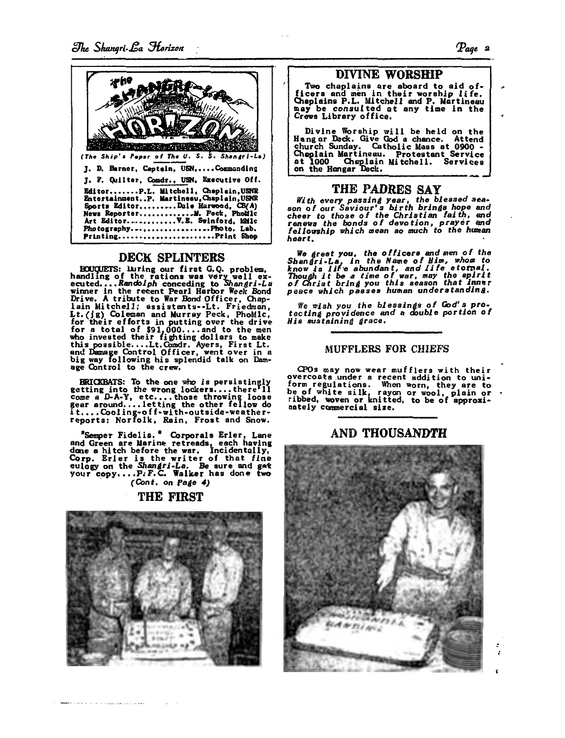

# DECK SPLINTERS

BOUCUETS: Luring our first G.Q. problem,<br>handling of the rations was very well ex-<br>ecuted....Randolph conceding to Shangri-La<br>winner in the recent Pearl Harbor Week Bond<br>Drive. A tribute to War Bond Officer, Chaplain Mitchell; assistants--Lt. Friedman,<br>Lt.(1g) Coleman and Murray Peck, PhoMlc, Lt. (1g) Loleman and Murray Peck, PhoMic,<br>for their efforts in putting over the drive<br>for a total of \$91,000....and to the men<br>who invested their fighting dollars to make<br>this possible....Lt.Comdr. Ayers, First Lt.<br>and Dam

ERICKBATS: To the one who is persistingly Exitating into the wrow is persistently<br>come a D-A-Y, etc....those throwing loose<br>gear around....letting the other fellow do<br>it....Cooling-off-with-outside-weather-<br>reports: Norfolk, Rain, Frost and Snow.

"Semper Fidelis." Corporals Erler, Lane<br>and Green are Marine retreads, each having<br>done a hitch before the war. Incidentally,<br>Corp. Erler is the writer of that fine<br>eulogy on the Shangri-La. Be sure and get<br>your copy....P. (Cont. on Page 4)

### THE FIRST



Two chaplains are aboard to aid of-<br>ficers and men in their worship life.<br>Chaplains P.L. Mitchell and P. Martineau<br>may be consulted at any time in the<br>Crews Library office.

Divine Worship will be held on the Hang ar Deck. Give God a chance. Attend church Sunday. Catholic Mass at 0900 - Cheplain Martineau. Protestant Service at 1000 Cheplain Mitchell. Services on the Hangar Deck.

# THE PADRES SAY

With every passing year, the blessed season of our Saviour's birth brings hope and<br>cheer to those of the Christian faith, and reserve the bonds of devotion, prayer and<br>fellowship which mean so much to the human heart.

We greet you, the officers and men of the<br>Shangri-La, in the Name of Him, whom to<br>know is life abundant, and life eternal.<br>Though it be a time of war, may the spirit<br>of Christ bring you this season that inner<br>peace which p

We wish you the blessings of God's pro-<br>tecting providence and a double portion of<br>His sustaining grace.

#### MUFFLERS FOR CHIEFS

CPOs may now wear mufflers with their overcoats under a recent addition to uni-<br>form regulations. When worn, they are to<br>be of white silk, rayon or wool, plain or<br>ribbed, woven or knitted, to be of approxinately commercial size.

# AND THOUSANDTH



 $\mathbf{r}$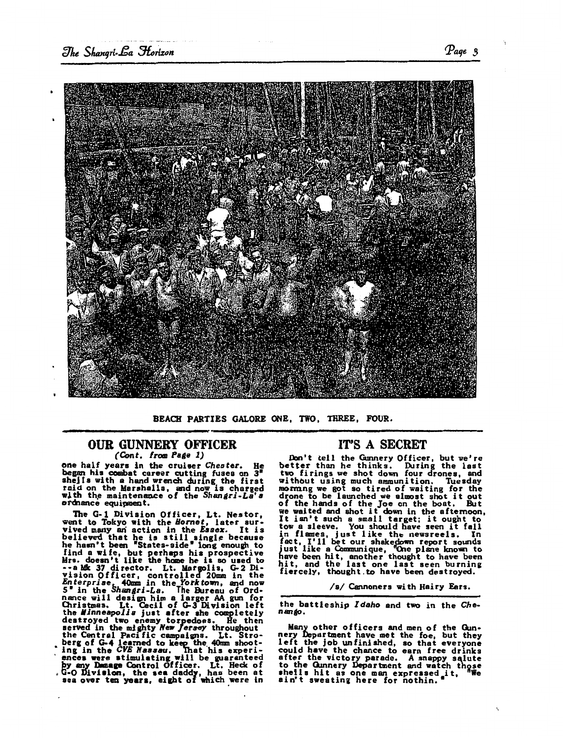

BEACH PARTIES GALORE ONE, TWO, THREE, FOUR.

#### OUR GUNNERY OFFICER *(Cont. from Page 1)*

one half years in the cruiser Cheater. He began his combat career cutting fuses on 3<sup>°</sup> shells with a hand wrench during the first raid on the Marshalls, and now is charged<br>with the maintenance of the *Shangri-La's*<br>ordnance equipment.

The G-1 Division Officer, Lt. Nestor, went to Tokyo with the *Hornet*, later sur-<br>vived many an action in the *Essex*. It is<br>believed that he is still single because<br>he hasn't been "States-side" long enough to find a wife, but perhaps hia prospective Mrs, doesn't like the heme he la so uaed to --a Mk 37 director. Lt. Margolis, G-2 Division Officer, controlled 20mm in the Enterprise, 40mm in the Forktown, and now 5" in the Shangri-La. The Bureau of Ord-<br>nance will design him a larger AA gun for Gristmas. Lt. Geci the *Minneapolis* just after ahe completely<br>destroyed two enemy torpedoes. He then served in the mighty New Jersey throughout<br>the Central Pacific campaigns. Lt. Stroberg of G-4 learned to keep the 40mm shoot-" ing in the *CVE Nassau*. That his experi-<br>| ences were stimulating will be guaranteed by any Dumage Control Officer. Lt. Heck of G-0 Division, the sea daddy, has been at sea over ten years, eight of which were in

## IT'S A SECRET

Don't cell the Gunnery Officer, but we're better than he thinks. During the last two firings we shot down four drones, and without using much ammunition. Tuesday morming we got so tired of waiting for the drone to be launched we almost shot it out of the hands of the Joe on the boat. But we waited and shot it down in the afternoon, It isn't such a small target; it ought to It isn't such a small target; it ought to<br>tow a sleeve. You should have seen it fall<br>in flames, just like the newsreels. In<br>fact, I'll bet our shakedown report sounds<br>just like a Communique, One plane known to<br>have been hi

/a/ Cannoners with Hairy Fars.

the battleship *Idaho* and two in the *Che*nango.

Many other officers and men of the Gunnery Department have met the foe, but they left the job unfinished, so that everyone could have the chance to earn free drinks after the victory parade. A snappy salute to the Cunnery Department and watch those<br>shells hit as one man expressed it, We<br>ain't sweating here for nothin.